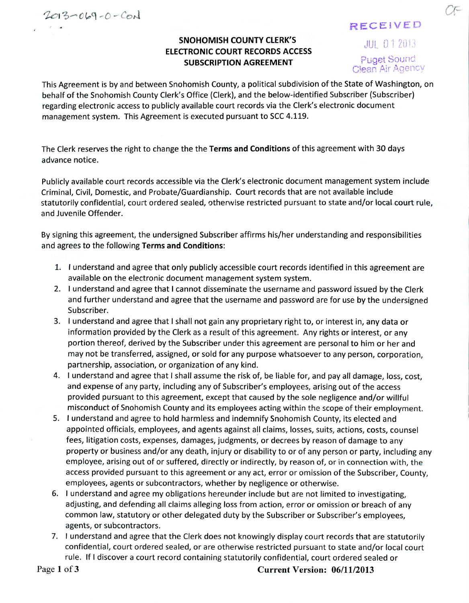$2013 - 069 - 0 - 001$ 

## **RECEIVED**

## **SNOHOMISH COUNTY CLERK'S** *DUL 012013* **ELECTRONIC COURT RECORDS ACCESS SUBSCRIPTION AGREEMENT puget Sound**

Clean Air Agency

This Agreement is by and between Snohomish County, a political subdivision of the State of Washington, on behalf of the Snohomish County Clerk's Office (Clerk), and the below-identified Subscriber (Subscriber) regarding electronic access to publicly available court records via the Clerk's electronic document management system. This Agreement is executed pursuant to SCC 4.119.

The Clerk reserves the right to change the the **Terms and Conditions** of this agreement with 30 days advance notice.

Publicly available court records accessible via the Clerk's electronic document management system include Criminal, Civil, Domestic, and Probate/Guardianship. Court records that are not available include statutorily confidential, court ordered sealed, otherwise restricted pursuant to state and/or local court rule, and Juvenile Offender.

By signing this agreement, the undersigned Subscriber affirms his/her understanding and responsibilities and agrees to the following **Terms and Conditions:**

- 1. I understand and agree that only publicly accessible court records identified in this agreement are available on the electronic document management system system.
- 2. I understand and agree that I cannot disseminate the username and password issued by the Clerk and further understand and agree that the username and password are for use by the undersigned Subscriber.
- 3. I understand and agree that I shall not gain any proprietary right to, or interest in, any data or information provided by the Clerk as a result of this agreement. Any rights or interest, or any portion thereof, derived by the Subscriber under this agreement are personal to him or her and may not be transferred, assigned, or sold for any purpose whatsoever to any person, corporation, partnership, association, or organization of any kind.
- 4. I understand and agree that I shall assume the risk of, be liable for, and pay all damage, loss, cost, and expense of any party, including any of Subscriber's employees, arising out of the access provided pursuant to this agreement, except that caused by the sole negligence and/or willful misconduct of Snohomish County and its employees acting within the scope of their employment.
- 5. I understand and agree to hold harmless and indemnify Snohomish County, its elected and appointed officials, employees, and agents against all claims, losses, suits, actions, costs, counsel fees, litigation costs, expenses, damages, judgments, or decrees by reason of damage to any property or business and/or any death, injury or disability to or of any person or party, including any employee, arising out of or suffered, directly or indirectly, by reason of, or in connection with, the access provided pursuant to this agreement or any act, error or omission of the Subscriber, County, employees, agents or subcontractors, whether by negligence or otherwise.
- 6. I understand and agree my obligations hereunder include but are not limited to investigating, adjusting, and defending all claims alleging loss from action, error or omission or breach of any common law, statutory or other delegated duty by the Subscriber or Subscriber's employees, agents, or subcontractors.
- 7. I understand and agree that the Clerk does not knowingly display court records that are statutorily confidential, court ordered sealed, or are otherwise restricted pursuant to state and/or local court rule. If I discover a court record containing statutorily confidential, court ordered sealed or

**Page 1 of 3 Current Version: 06/11/2013**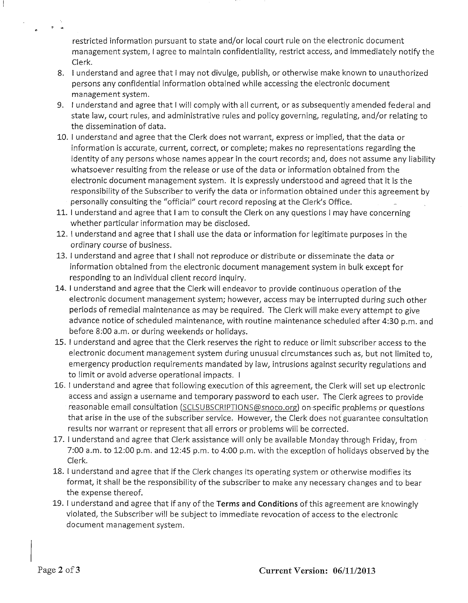restricted information pursuant to state and/or local court rule on the electronic document management system, I agree to maintain confidentiality, restrict access, and immediately notify the Clerk.

- 8. 1 understand and agree that I may not divulge, publish, or otherwise make known to unauthorized persons any confidential information obtained while accessing the electronic document management system.
- 9. I understand and agree that I will comply with all current, or as subsequently amended federal and state law, court rules, and administrative rules and policy governing, regulating, and/or relating to the dissemination of data.
- 10. 1 understand and agree that the Clerk does not warrant, express or implied, that the data or information is accurate, current, correct, or complete; makes no representations regarding the identity of any persons whose names appear in the court records; and, does not assume any liability whatsoever resulting from the release or use of the data or information obtained from the electronic document management system. It is expressly understood and agreed that it is the responsibility of the Subscriber to verify the data or information obtained under this agreement by personally consulting the "official" court record reposing at the Clerk's Office.
- 11. I understand and agree that I am to consult the Clerk on any questions I may have concerning whether particular information may be disclosed.
- 12. 1 understand and agree that 1 shall use the data or information for legitimate purposes in the ordinary course of business.
- 13. I understand and agree that I shall not reproduce or distribute or disseminate the data or information obtained from the electronic document management system in bulk except for responding to an individual client record inquiry.
- 14. I understand and agree that the Clerk will endeavor to provide continuous operation of the electronic document management system; however, access may be interrupted during such other periods of remedial maintenance as may be required. The Clerk will make every attempt to give advance notice of scheduled maintenance, with routine maintenance scheduled after 4:30 p.m. and before 8:00 a.m. or during weekends or holidays.
- 15. I understand and agree that the Clerk reserves the right to reduce or limit subscriber access to the electronic document management system during unusual circumstances such as, but not limited to, emergency production requirements mandated by law, intrusions against security regulations and to limit or avoid adverse operational impacts. I
- 16. I understand and agree that following execution of this agreement, the Clerk will set up electronic access and assign a username and temporary password to each user. The Clerk agrees to provide reasonable email consultation (SCLSUBSCRIPTIONS@snoco.org) on-specific problems or questions that arise in the use of the subscriber service. However, the Clerk does not guarantee consultation results nor warrant or represent that all errors or problems will be corrected.
- 17. I understand and agree that Clerk assistance will only be available Monday through Friday, from 7:00 a.m. to 12:00 p.m. and 12:45 p.m. to 4:00 p.m. with the exception of holidays observed by the Clerk.
- 18. I understand and agree that if the Clerk changes its operating system or otherwise modifies its format, it shall be the responsibility of the subscriber to make any necessary changes and to bear the expense thereof.
- 19. I understand and agree that if any of the Terms and Conditions of this agreement are knowingly violated, the Subscriber will be subject to immediate revocation of access to the electronic document management system.